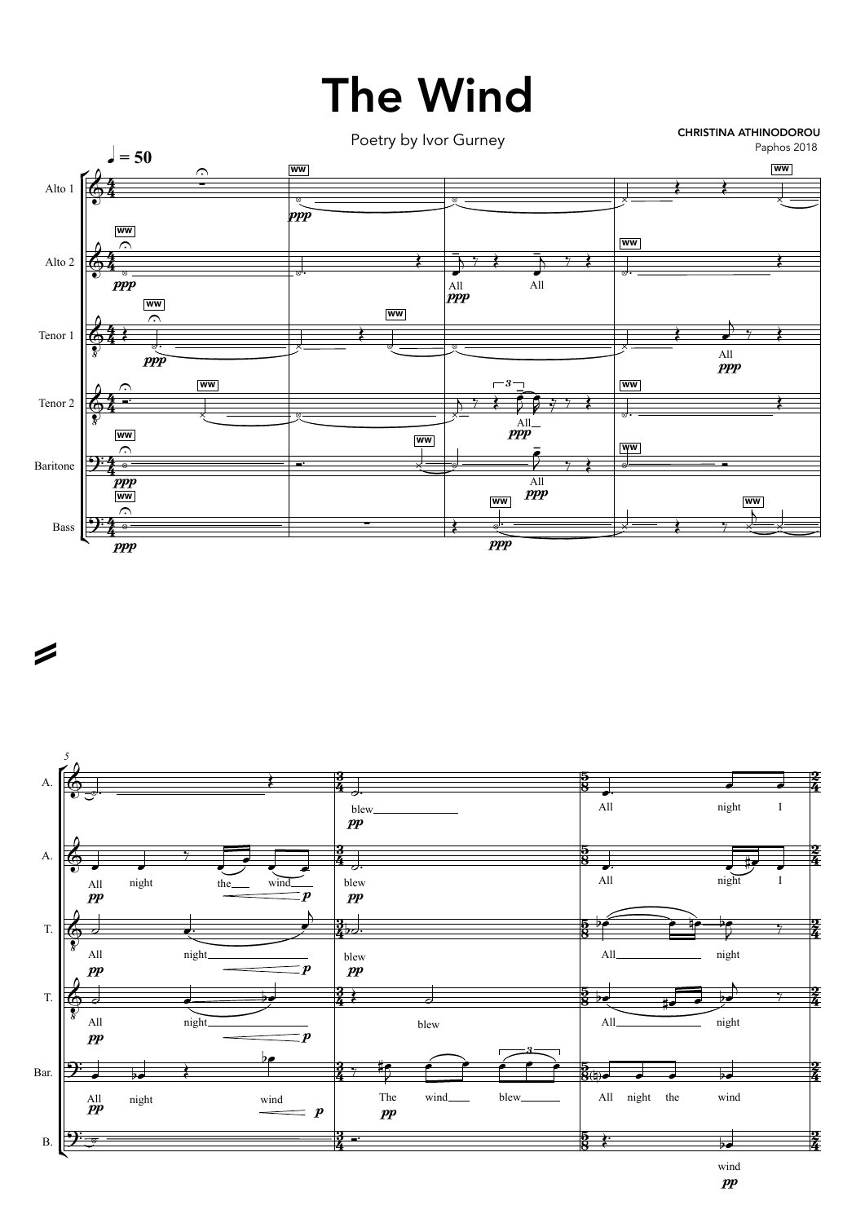## **The Wind**





 $\overline{\mathscr{L}}$ 

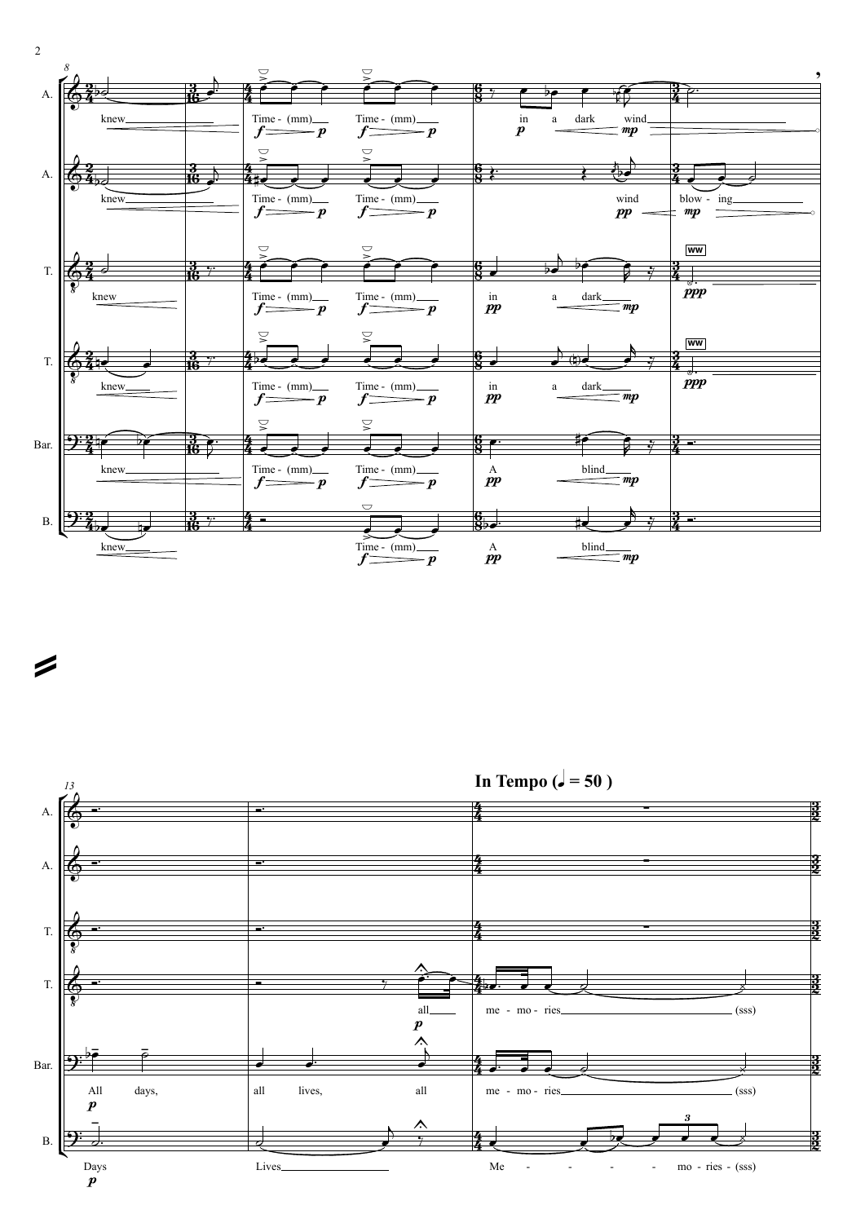



=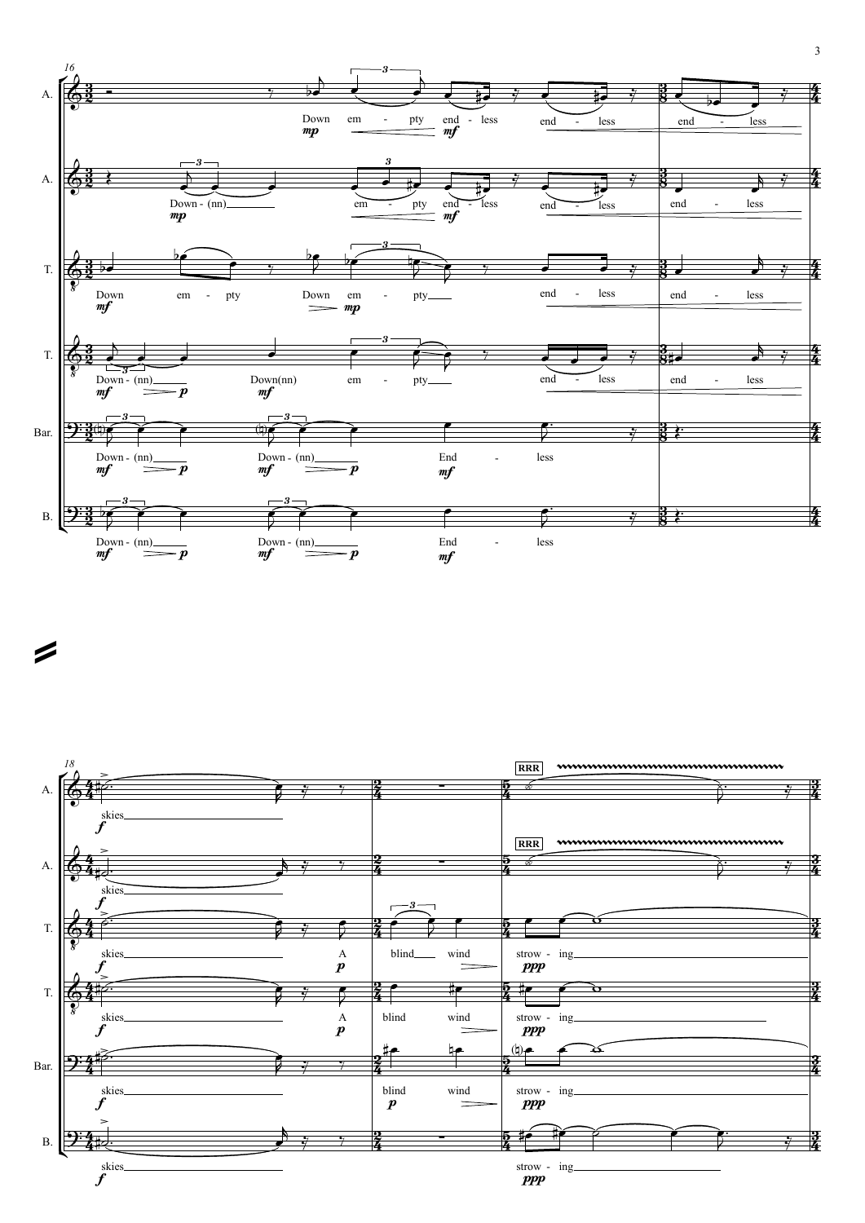



=